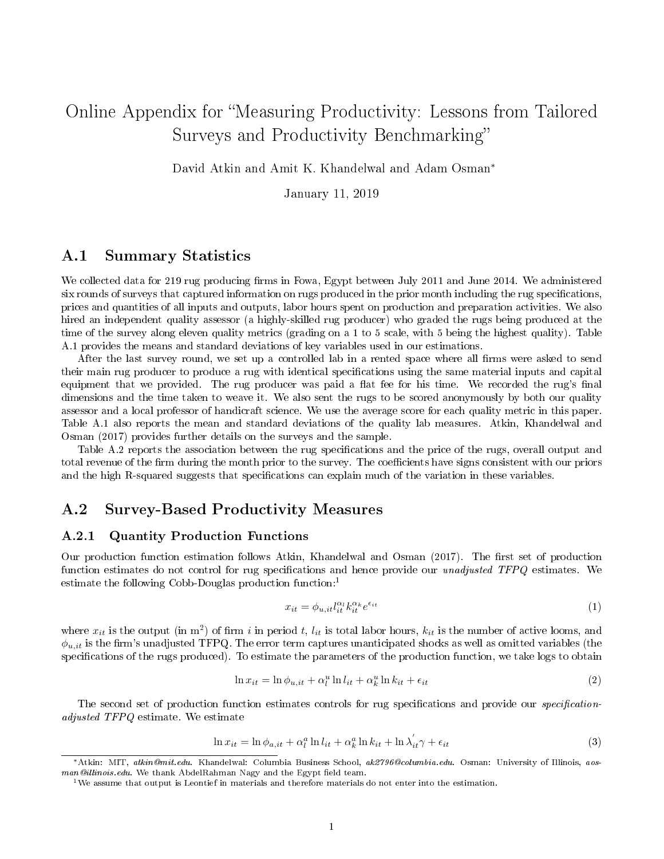# Online Appendix for Measuring Productivity: Lessons from Tailored Surveys and Productivity Benchmarking

David Atkin and Amit K. Khandelwal and Adam Osman<sup>∗</sup>

January 11, 2019

# A.1 Summary Statistics

We collected data for 219 rug producing firms in Fowa, Egypt between July 2011 and June 2014. We administered six rounds of surveys that captured information on rugs produced in the prior month including the rug specifications, prices and quantities of all inputs and outputs, labor hours spent on production and preparation activities. We also hired an independent quality assessor (a highly-skilled rug producer) who graded the rugs being produced at the time of the survey along eleven quality metrics (grading on a 1 to 5 scale, with 5 being the highest quality). Table A.1 provides the means and standard deviations of key variables used in our estimations.

After the last survey round, we set up a controlled lab in a rented space where all firms were asked to send their main rug producer to produce a rug with identical specifications using the same material inputs and capital equipment that we provided. The rug producer was paid a flat fee for his time. We recorded the rug's final dimensions and the time taken to weave it. We also sent the rugs to be scored anonymously by both our quality assessor and a local professor of handicraft science. We use the average score for each quality metric in this paper. Table A.1 also reports the mean and standard deviations of the quality lab measures. Atkin, Khandelwal and Osman (2017) provides further details on the surveys and the sample.

Table A.2 reports the association between the rug specifications and the price of the rugs, overall output and total revenue of the firm during the month prior to the survey. The coefficients have signs consistent with our priors and the high R-squared suggests that specifications can explain much of the variation in these variables.

# A.2 Survey-Based Productivity Measures

## A.2.1 Quantity Production Functions

Our production function estimation follows Atkin, Khandelwal and Osman (2017). The first set of production function estimates do not control for rug specifications and hence provide our *unadjusted TFPQ* estimates. We estimate the following Cobb-Douglas production function:<sup>1</sup>

$$
x_{it} = \phi_{u, it} l_{it}^{\alpha_l} k_{it}^{\alpha_k} e^{\epsilon_{it}} \tag{1}
$$

where  $x_{it}$  is the output (in m<sup>2</sup>) of firm i in period t,  $l_{it}$  is total labor hours,  $k_{it}$  is the number of active looms, and  $\phi_{u,it}$  is the firm's unadjusted TFPQ. The error term captures unanticipated shocks as well as omitted variables (the specifications of the rugs produced). To estimate the parameters of the production function, we take logs to obtain

$$
\ln x_{it} = \ln \phi_{u, it} + \alpha_l^u \ln l_{it} + \alpha_k^u \ln k_{it} + \epsilon_{it}
$$
\n<sup>(2)</sup>

The second set of production function estimates controls for rug specifications and provide our *specification*adjusted TFPQ estimate. We estimate

$$
\ln x_{it} = \ln \phi_{a,it} + \alpha_l^a \ln l_{it} + \alpha_k^a \ln k_{it} + \ln \lambda_{it}^{\prime} \gamma + \epsilon_{it}
$$
\n(3)

<sup>∗</sup>Atkin: MIT, atkin@mit.edu. Khandelwal: Columbia Business School, ak2796@columbia.edu. Osman: University of Illinois, aosman@illinois.edu. We thank AbdelRahman Nagy and the Egypt field team.

<sup>&</sup>lt;sup>1</sup>We assume that output is Leontief in materials and therefore materials do not enter into the estimation.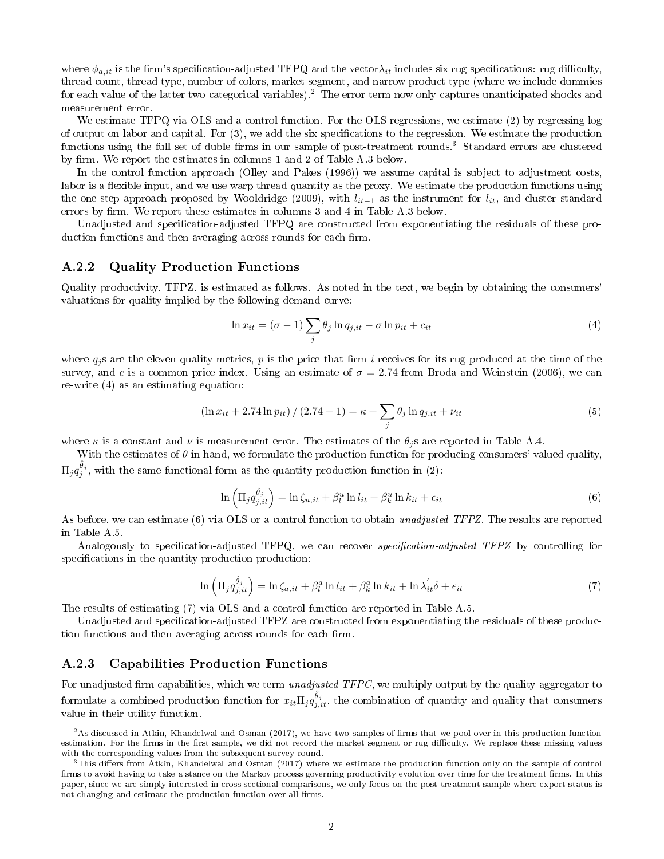where  $\phi_{a,it}$  is the firm's specification-adjusted TFPQ and the vector $\lambda_{it}$  includes six rug specifications: rug difficulty, thread count, thread type, number of colors, market segment, and narrow product type (where we include dummies for each value of the latter two categorical variables).<sup>2</sup> The error term now only captures unanticipated shocks and measurement error.

We estimate TFPQ via OLS and a control function. For the OLS regressions, we estimate (2) by regressing log of output on labor and capital. For  $(3)$ , we add the six specifications to the regression. We estimate the production functions using the full set of duble firms in our sample of post-treatment rounds.<sup>3</sup> Standard errors are clustered by firm. We report the estimates in columns 1 and 2 of Table A.3 below.

In the control function approach (Olley and Pakes (1996)) we assume capital is subject to adjustment costs, labor is a flexible input, and we use warp thread quantity as the proxy. We estimate the production functions using the one-step approach proposed by Wooldridge (2009), with  $l_{it-1}$  as the instrument for  $l_{it}$ , and cluster standard errors by firm. We report these estimates in columns  $3$  and  $4$  in Table A.3 below.

Unadjusted and specification-adjusted TFPQ are constructed from exponentiating the residuals of these production functions and then averaging across rounds for each firm.

#### A.2.2 Quality Production Functions

Quality productivity, TFPZ, is estimated as follows. As noted in the text, we begin by obtaining the consumers' valuations for quality implied by the following demand curve:

$$
\ln x_{it} = (\sigma - 1) \sum_{j} \theta_{j} \ln q_{j, it} - \sigma \ln p_{it} + c_{it}
$$
\n(4)

where  $q_i$ s are the eleven quality metrics, p is the price that firm i receives for its rug produced at the time of the survey, and c is a common price index. Using an estimate of  $\sigma = 2.74$  from Broda and Weinstein (2006), we can re-write (4) as an estimating equation:

$$
\left(\ln x_{it} + 2.74 \ln p_{it}\right) / \left(2.74 - 1\right) = \kappa + \sum_{j} \theta_{j} \ln q_{j, it} + \nu_{it}
$$
\n(5)

where  $\kappa$  is a constant and  $\nu$  is measurement error. The estimates of the  $\theta_j$ s are reported in Table A.4.

With the estimates of  $\theta$  in hand, we formulate the production function for producing consumers' valued quality,  $\Pi_j q_j^{\hat{\theta}_j}, \text{ with the same functional form as the quantity production function in (2):}$ 

$$
\ln\left(\Pi_j q_{j,it}^{\hat{\theta}_j}\right) = \ln \zeta_{u,it} + \beta_l^u \ln l_{it} + \beta_k^u \ln k_{it} + \epsilon_{it}
$$
\n(6)

As before, we can estimate (6) via OLS or a control function to obtain unadjusted TFPZ. The results are reported in Table A.5.

Analogously to specification-adjusted TFPQ, we can recover *specification-adjusted TFPZ* by controlling for specifications in the quantity production production:

$$
\ln\left(\Pi_j q_{j,it}^{\hat{\theta}_j}\right) = \ln \zeta_{a,it} + \beta_l^a \ln l_{it} + \beta_k^a \ln k_{it} + \ln \lambda_{it}^{\prime} \delta + \epsilon_{it}
$$
\n(7)

The results of estimating (7) via OLS and a control function are reported in Table A.5.

Unadjusted and specification-adjusted TFPZ are constructed from exponentiating the residuals of these production functions and then averaging across rounds for each firm.

#### A.2.3 Capabilities Production Functions

For unadjusted firm capabilities, which we term *unadjusted TFPC*, we multiply output by the quality aggregator to formulate a combined production function for  $x_{it} \Pi_j q_{j,it}^{\hat{\theta}_j}$ , the combination of quantity and quality that consumers value in their utility function.

 $2$ As discussed in Atkin, Khandelwal and Osman (2017), we have two samples of firms that we pool over in this production function estimation. For the firms in the first sample, we did not record the market segment or rug difficulty. We replace these missing values with the corresponding values from the subsequent survey round.

 $3$ This differs from Atkin, Khandelwal and Osman (2017) where we estimate the production function only on the sample of control firms to avoid having to take a stance on the Markov process governing productivity evolution over time for the treatment firms. In this paper, since we are simply interested in cross-sectional comparisons, we only focus on the post-treatment sample where export status is not changing and estimate the production function over all firms.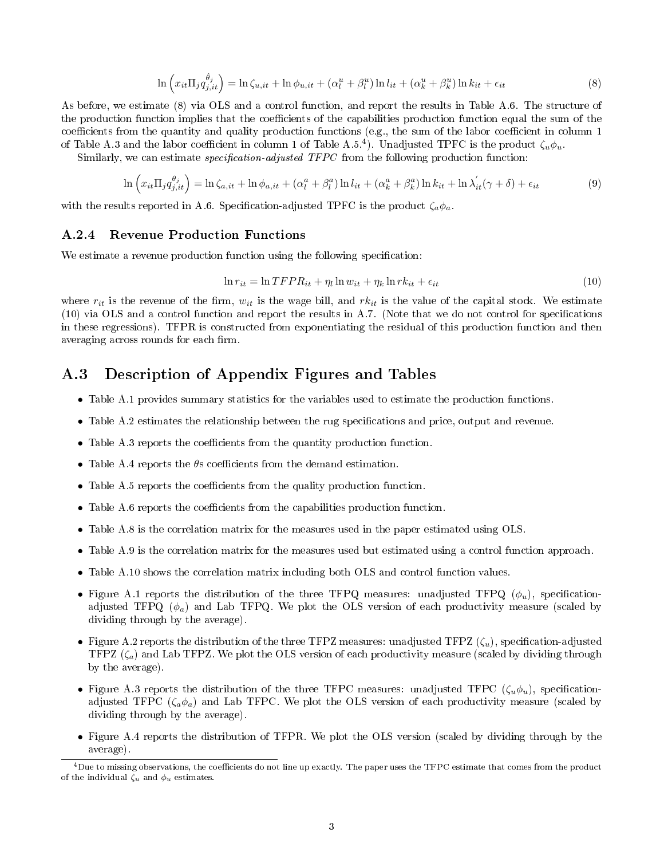$$
\ln\left(x_{it}\Pi_j q_{j,it}^{\hat{\theta}_j}\right) = \ln\zeta_{u,it} + \ln\phi_{u,it} + \left(\alpha_l^u + \beta_l^u\right)\ln l_{it} + \left(\alpha_k^u + \beta_k^u\right)\ln k_{it} + \epsilon_{it}
$$
\n
$$
\tag{8}
$$

As before, we estimate (8) via OLS and a control function, and report the results in Table A.6. The structure of the production function implies that the coefficients of the capabilities production function equal the sum of the coefficients from the quantity and quality production functions (e.g., the sum of the labor coefficient in column  $1$ of Table A.3 and the labor coefficient in column 1 of Table A.5.<sup>4</sup>). Unadjusted TPFC is the product  $\zeta_u \phi_u$ .

Similarly, we can estimate *specification-adjusted TFPC* from the following production function:

$$
\ln\left(x_{it}\Pi_j q_{j,it}^{\theta_j}\right) = \ln\zeta_{a,it} + \ln\phi_{a,it} + \left(\alpha_l^a + \beta_l^a\right)\ln l_{it} + \left(\alpha_k^a + \beta_k^a\right)\ln k_{it} + \ln\lambda'_{it}(\gamma + \delta) + \epsilon_{it}
$$
\n(9)

with the results reported in A.6. Specification-adjusted TPFC is the product  $\zeta_a \phi_a$ .

#### A.2.4 Revenue Production Functions

We estimate a revenue production function using the following specification:

$$
\ln r_{it} = \ln TFPR_{it} + \eta_l \ln w_{it} + \eta_k \ln r k_{it} + \epsilon_{it}
$$
\n(10)

where  $r_{it}$  is the revenue of the firm,  $w_{it}$  is the wage bill, and  $rk_{it}$  is the value of the capital stock. We estimate (10) via OLS and a control function and report the results in A.7. (Note that we do not control for specications in these regressions). TFPR is constructed from exponentiating the residual of this production function and then averaging across rounds for each firm.

# A.3 Description of Appendix Figures and Tables

- Table A.1 provides summary statistics for the variables used to estimate the production functions.
- Table A.2 estimates the relationship between the rug specifications and price, output and revenue.
- Table A.3 reports the coefficients from the quantity production function.
- Table A.4 reports the  $\theta$ s coefficients from the demand estimation.
- Table A.5 reports the coefficients from the quality production function.
- Table A.6 reports the coefficients from the capabilities production function.
- Table A.8 is the correlation matrix for the measures used in the paper estimated using OLS.
- Table A.9 is the correlation matrix for the measures used but estimated using a control function approach.
- Table A.10 shows the correlation matrix including both OLS and control function values.
- Figure A.1 reports the distribution of the three TFPQ measures: unadjusted TFPQ  $(\phi_u)$ , specificationadjusted TFPQ  $(\phi_a)$  and Lab TFPQ. We plot the OLS version of each productivity measure (scaled by dividing through by the average).
- Figure A.2 reports the distribution of the three TFPZ measures: unadjusted TFPZ  $(\zeta_u)$ , specification-adjusted TFPZ  $(\zeta_a)$  and Lab TFPZ. We plot the OLS version of each productivity measure (scaled by dividing through by the average).
- Figure A.3 reports the distribution of the three TFPC measures: unadjusted TFPC ( $\zeta_u \phi_u$ ), specificationadjusted TFPC ( $\zeta_a \phi_a$ ) and Lab TFPC. We plot the OLS version of each productivity measure (scaled by dividing through by the average).
- Figure A.4 reports the distribution of TFPR. We plot the OLS version (scaled by dividing through by the average).

<sup>&</sup>lt;sup>4</sup>Due to missing observations, the coefficients do not line up exactly. The paper uses the TFPC estimate that comes from the product of the individual  $\zeta_u$  and  $\phi_u$  estimates.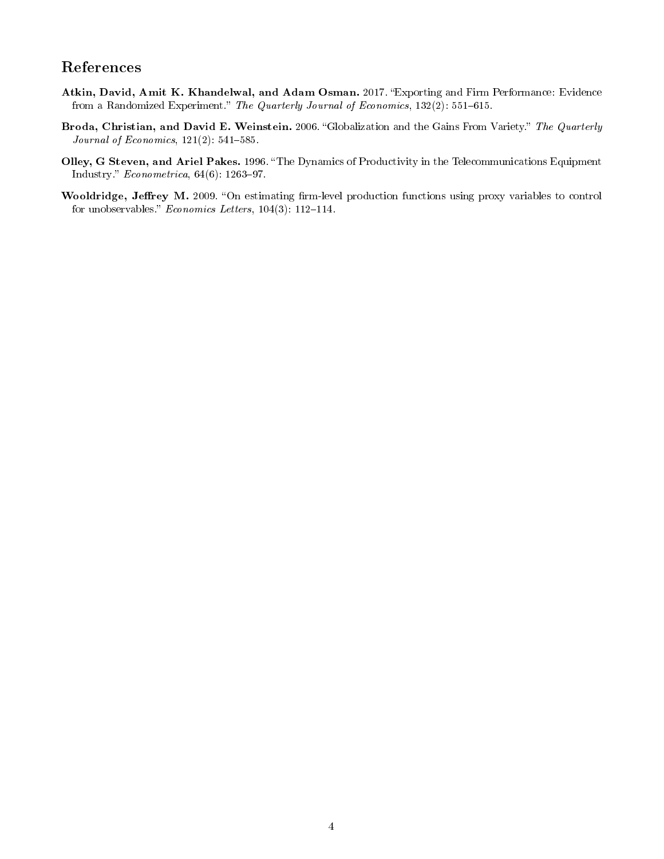# References

- Atkin, David, Amit K. Khandelwal, and Adam Osman. 2017. "Exporting and Firm Performance: Evidence from a Randomized Experiment." The Quarterly Journal of Economics, 132(2): 551–615.
- Broda, Christian, and David E. Weinstein. 2006. "Globalization and the Gains From Variety." The Quarterly *Journal of Economics*,  $121(2)$ :  $541-585$ .
- Olley, G Steven, and Ariel Pakes. 1996. "The Dynamics of Productivity in the Telecommunications Equipment Industry."  $Econometrica, 64(6): 1263-97.$
- Wooldridge, Jeffrey M. 2009. "On estimating firm-level production functions using proxy variables to control for unobservables."  $Economics$  Letters,  $104(3)$ : 112-114.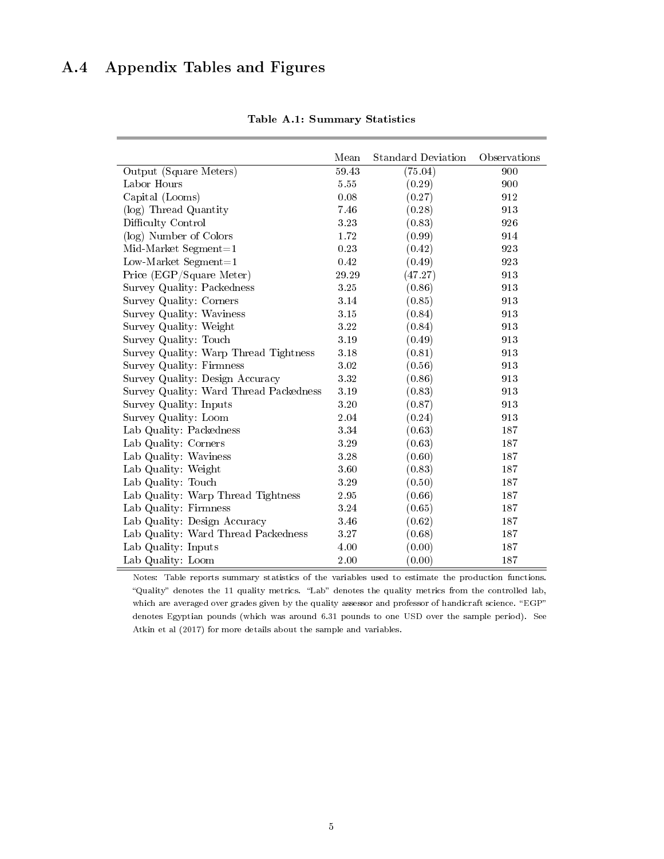# A.4 Appendix Tables and Figures

|                                        | Mean     | <b>Standard Deviation</b> | Observations |
|----------------------------------------|----------|---------------------------|--------------|
| Output (Square Meters)                 | 59.43    | (75.04)                   | 900          |
| Labor Hours                            | 5.55     | (0.29)                    | 900          |
| Capital (Looms)                        | 0.08     | (0.27)                    | 912          |
| (log) Thread Quantity                  | 7.46     | (0.28)                    | 913          |
| Difficulty Control                     | 3.23     | (0.83)                    | 926          |
| (log) Number of Colors                 | 1.72     | (0.99)                    | 914          |
| $Mid-Market$ Segment=1                 | 0.23     | (0.42)                    | 923          |
| Low-Market Segment= $1$                | 0.42     | (0.49)                    | 923          |
| Price (EGP/Square Meter)               | 29.29    | (47.27)                   | 913          |
| Survey Quality: Packedness             | 325      | (0.86)                    | 913          |
| Survey Quality: Corners                | 3.14     | (0.85)                    | 913          |
| Survey Quality: Waviness               | 3.15     | (0.84)                    | 913          |
| Survey Quality: Weight                 | 3.22     | (0.84)                    | 913          |
| Survey Quality: Touch                  | 3.19     | (0.49)                    | 913          |
| Survey Quality: Warp Thread Tightness  | 3.18     | (0.81)                    | 913          |
| Survey Quality: Firmness               | $3.02\,$ | (0.56)                    | 913          |
| Survey Quality: Design Accuracy        | $3.32\,$ | (0.86)                    | 913          |
| Survey Quality: Ward Thread Packedness | 3.19     | (0.83)                    | 913          |
| Survey Quality: Inputs                 | 3.20     | (0.87)                    | 913          |
| Survey Quality: Loom                   | 2.04     | (0.24)                    | 913          |
| Lab Quality: Packedness                | 3.34     | (0.63)                    | 187          |
| Lab Quality: Corners                   | 3.29     | (0.63)                    | 187          |
| Lab Quality: Waviness                  | 3.28     | (0.60)                    | 187          |
| Lab Quality: Weight                    | 3.60     | (0.83)                    | 187          |
| Lab Quality: Touch                     | 3.29     | (0.50)                    | 187          |
| Lab Quality: Warp Thread Tightness     | 2.95     | (0.66)                    | 187          |
| Lab Quality: Firmness                  | $3.24\,$ | (0.65)                    | 187          |
| Lab Quality: Design Accuracy           | 3.46     | (0.62)                    | 187          |
| Lab Quality: Ward Thread Packedness    | 3.27     | (0.68)                    | 187          |
| Lab Quality: Inputs                    | 4.00     | (0.00)                    | 187          |
| Lab Quality: Loom                      | 2.00     | (0.00)                    | 187          |

Table A.1: Summary Statistics

Notes: Table reports summary statistics of the variables used to estimate the production functions. "Quality" denotes the 11 quality metrics. "Lab" denotes the quality metrics from the controlled lab, which are averaged over grades given by the quality assessor and professor of handicraft science. "EGP" denotes Egyptian pounds (which was around 6.31 pounds to one USD over the sample period). See Atkin et al (2017) for more details about the sample and variables.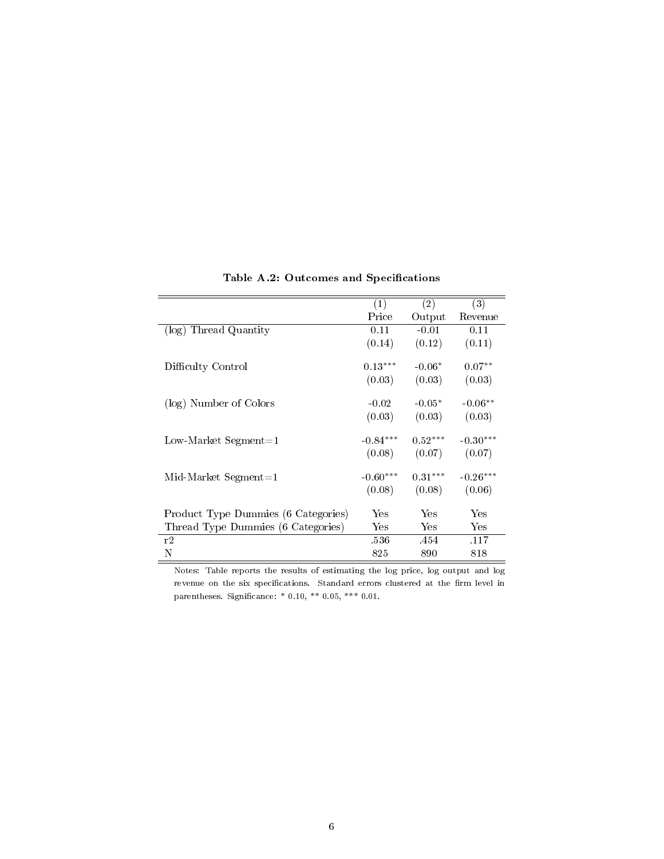|                                     | (1)        | (2)       | $\overline{(3)}$ |
|-------------------------------------|------------|-----------|------------------|
|                                     | Price      | Output    | Revenue          |
| (log) Thread Quantity               | 0.11       | $-0.01$   | 0.11             |
|                                     | (0.14)     | (0.12)    | (0.11)           |
|                                     |            |           |                  |
| Difficulty Control                  | $0.13***$  | $-0.06*$  | $0.07**$         |
|                                     | (0.03)     | (0.03)    | (0.03)           |
| (log) Number of Colors              | $-0.02$    | $-0.05*$  | $-0.06**$        |
|                                     | (0.03)     | (0.03)    | (0.03)           |
| Low-Market Segment=1                | $-0.84***$ | $0.52***$ | $-0.30***$       |
|                                     | (0.08)     | (0.07)    | (0.07)           |
| $Mid-Market$ Segment = 1            | $-0.60***$ | $0.31***$ | $-0.26***$       |
|                                     | (0.08)     | (0.08)    | (0.06)           |
|                                     | Yes        | Yes       | Yes              |
| Product Type Dummies (6 Categories) |            |           |                  |
| Thread Type Dummies (6 Categories)  | Yes        | Yes       | Yes              |
| r2                                  | .536       | .454      | .117             |
| N                                   | 825        | 890       | 818              |

Table A.2: Outcomes and Specifications

Notes: Table reports the results of estimating the log price, log output and log revenue on the six specifications. Standard errors clustered at the firm level in parentheses. Significance: \* 0.10, \*\* 0.05, \*\*\* 0.01.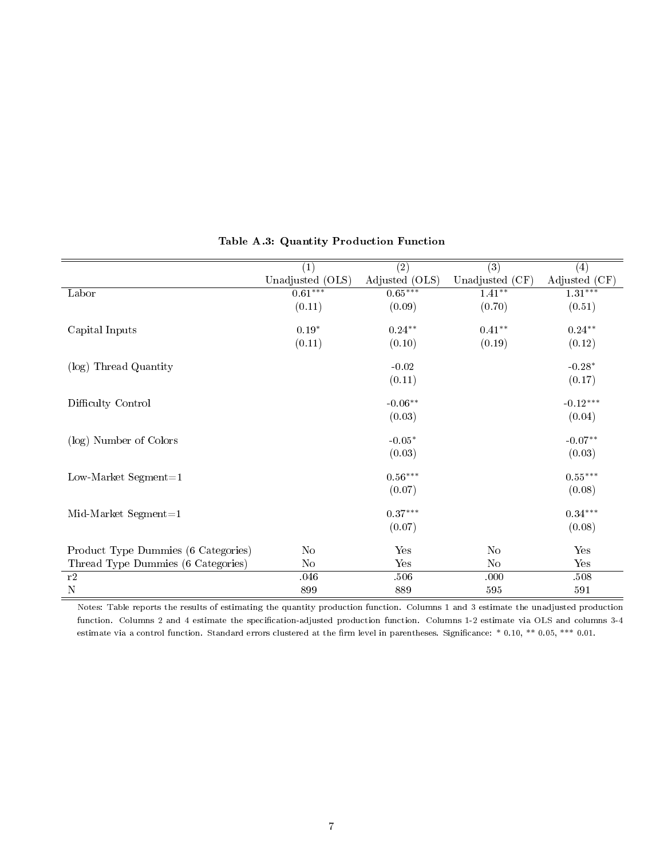|                                     | $\overline{(1)}$ | $\overline{(2)}$ | $\overline{(3)}$ | (4)           |
|-------------------------------------|------------------|------------------|------------------|---------------|
|                                     | Unadjusted (OLS) | Adjusted (OLS)   | Unadjusted (CF)  | Adjusted (CF) |
| Labor                               | $0.61***$        | $0.65***$        | $1.41***$        | $1.31***$     |
|                                     | (0.11)           | (0.09)           | (0.70)           | (0.51)        |
|                                     |                  |                  |                  |               |
| Capital Inputs                      | $0.19*$          | $0.24**$         | $0.41**$         | $0.24**$      |
|                                     | (0.11)           | (0.10)           | (0.19)           | (0.12)        |
| (log) Thread Quantity               |                  | $-0.02$          |                  | $-0.28*$      |
|                                     |                  | (0.11)           |                  | (0.17)        |
| Difficulty Control                  |                  | $-0.06**$        |                  | $-0.12***$    |
|                                     |                  | (0.03)           |                  | (0.04)        |
| (log) Number of Colors              |                  | $-0.05*$         |                  | $-0.07**$     |
|                                     |                  | (0.03)           |                  | (0.03)        |
| Low-Market Segment= $1$             |                  | $0.56***$        |                  | $0.55***$     |
|                                     |                  | (0.07)           |                  | (0.08)        |
| $Mid-Marker$ Segment=1              |                  | $0.37***$        |                  | $0.34***$     |
|                                     |                  | (0.07)           |                  | (0.08)        |
|                                     |                  |                  |                  |               |
| Product Type Dummies (6 Categories) | N <sub>o</sub>   | Yes              | N <sub>o</sub>   | Yes           |
| Thread Type Dummies (6 Categories)  | N <sub>o</sub>   | Yes              | No               | Yes           |
| r2                                  | 046              | 506              | .000             | .508          |
| $\mathbf N$                         | 899              | 889              | 595              | 591           |

## Table A.3: Quantity Production Function

Notes: Table reports the results of estimating the quantity production function. Columns 1 and 3 estimate the unadjusted production function. Columns 2 and 4 estimate the specification-adjusted production function. Columns 1-2 estimate via OLS and columns 3-4 estimate via a control function. Standard errors clustered at the firm level in parentheses. Significance: \* 0.10, \*\* 0.05, \*\*\* 0.01.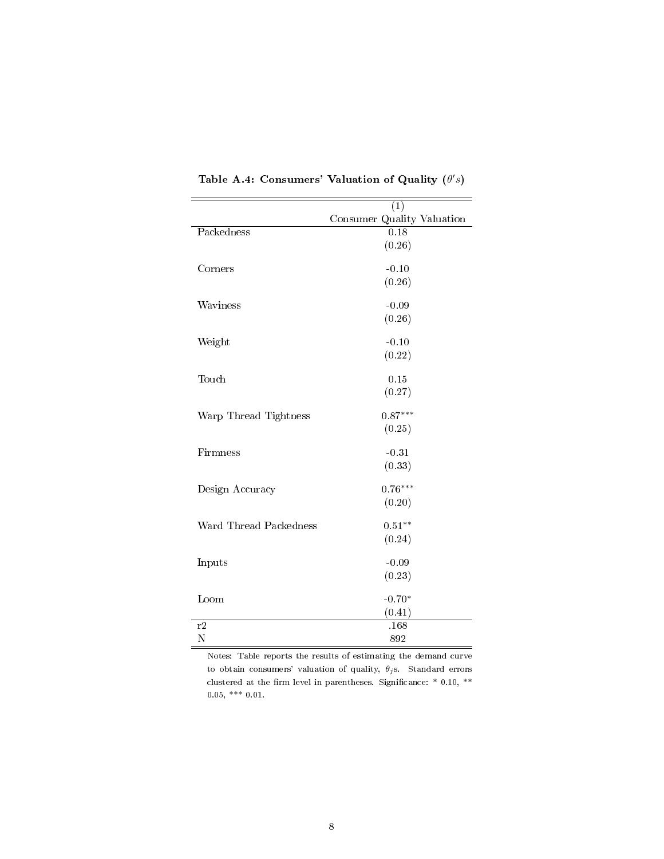|                        | $\left(1\right)$           |
|------------------------|----------------------------|
|                        | Consumer Quality Valuation |
| Packedness             | $\overline{0.18}$          |
|                        | (0.26)                     |
|                        |                            |
| Corners                | $-0.10$                    |
|                        | (0.26)                     |
|                        |                            |
| Waviness               | $-0.09$                    |
|                        | (0.26)                     |
|                        |                            |
| Weight                 | $-0.10$                    |
|                        | (0.22)                     |
| Touch                  | 0.15                       |
|                        | (0.27)                     |
|                        |                            |
| Warp Thread Tightness  | $0.87***$                  |
|                        | (0.25)                     |
|                        |                            |
| Firmness               | $-0.31$                    |
|                        | (0.33)                     |
|                        |                            |
| Design Accuracy        | $0.76***$                  |
|                        | (0.20)                     |
|                        | $0.51**$                   |
| Ward Thread Packedness |                            |
|                        | (0.24)                     |
| Inputs                 | $-0.09$                    |
|                        | (0.23)                     |
|                        |                            |
| Loom                   | $-0.70*$                   |
|                        | (0.41)                     |
| r2                     | .168                       |
| N                      | 892                        |

Table A.4: Consumers' Valuation of Quality  $(\theta's)$ 

Notes: Table reports the results of estimating the demand curve to obtain consumers' valuation of quality,  $\theta_j$ s. Standard errors clustered at the firm level in parentheses. Significance:  $*$  0.10,  $**$  $0.05,$  \*\*\*  $0.01.$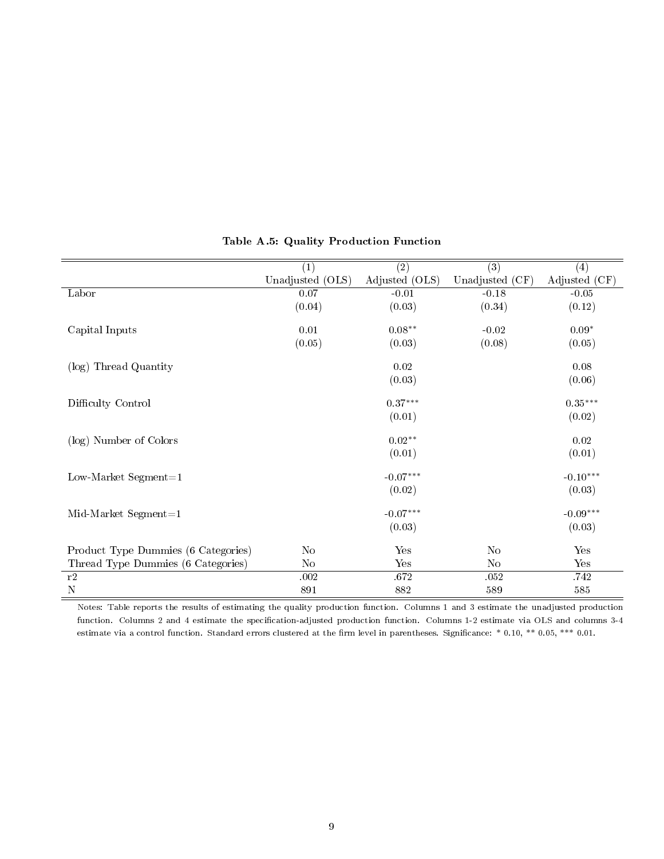|                                     | (1)              | $\overline{(2)}$ | $\overline{(3)}$ | (4)           |
|-------------------------------------|------------------|------------------|------------------|---------------|
|                                     | Unadjusted (OLS) | Adjusted (OLS)   | Unadjusted (CF)  | Adjusted (CF) |
| Labor                               | 0.07             | $-0.01$          | $-0.18$          | $-0.05$       |
|                                     | (0.04)           | (0.03)           | (0.34)           | (0.12)        |
|                                     |                  |                  |                  |               |
| Capital Inputs                      | 0.01             | $0.08**$         | $-0.02$          | $0.09*$       |
|                                     | (0.05)           | (0.03)           | (0.08)           | (0.05)        |
| (log) Thread Quantity               |                  | 0.02             |                  | 0.08          |
|                                     |                  | (0.03)           |                  | (0.06)        |
| Difficulty Control                  |                  | $0.37***$        |                  | $0.35***$     |
|                                     |                  | (0.01)           |                  | (0.02)        |
| (log) Number of Colors              |                  | $0.02**$         |                  | 0.02          |
|                                     |                  | (0.01)           |                  | (0.01)        |
| Low-Market Segment= $1$             |                  | $-0.07***$       |                  | $-0.10***$    |
|                                     |                  | (0.02)           |                  | (0.03)        |
| $Mid-Marker$ Segment=1              |                  | $-0.07***$       |                  | $-0.09***$    |
|                                     |                  | (0.03)           |                  | (0.03)        |
| Product Type Dummies (6 Categories) | No               | Yes              | No               | Yes           |
| Thread Type Dummies (6 Categories)  | No               | Yes              | N <sub>o</sub>   | Yes           |
| r2                                  | .002             | 672              | .052             | 742           |
| ${\bf N}$                           | 891              | 882              | 589              | $585\,$       |

### Table A.5: Quality Production Function

Notes: Table reports the results of estimating the quality production function. Columns 1 and 3 estimate the unadjusted production function. Columns 2 and 4 estimate the specification-adjusted production function. Columns 1-2 estimate via OLS and columns 3-4 estimate via a control function. Standard errors clustered at the firm level in parentheses. Significance: \* 0.10, \*\* 0.05, \*\*\* 0.01.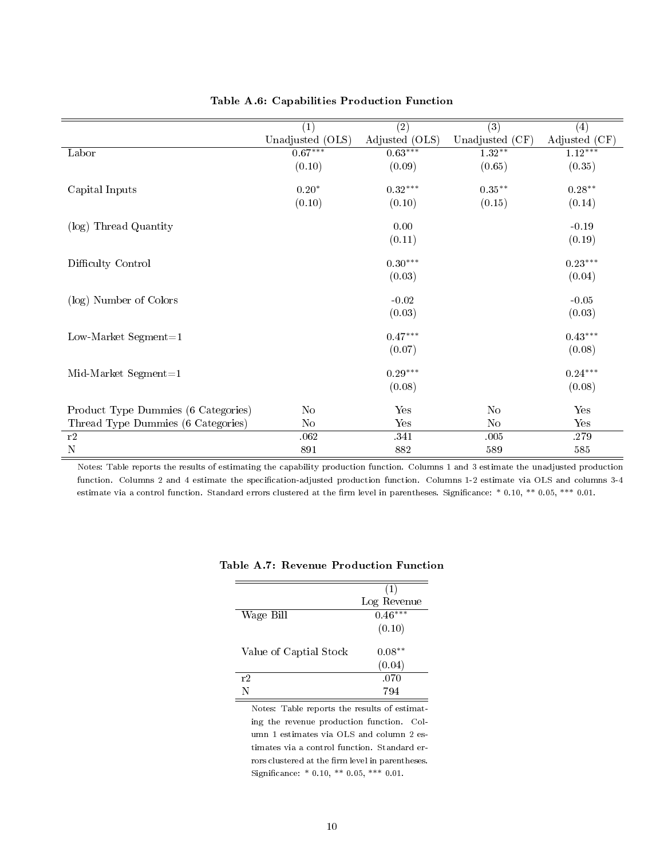|                                     | $\overline{(1)}$ | $\overline{(2)}$ | $\overline{(3)}$ | (4)           |
|-------------------------------------|------------------|------------------|------------------|---------------|
|                                     | Unadjusted (OLS) | Adjusted (OLS)   | Unadjusted (CF)  | Adjusted (CF) |
| Labor                               | $0.67***$        | $0.63***$        | $1.32**$         | $1.12***$     |
|                                     | (0.10)           | (0.09)           | (0.65)           | (0.35)        |
| Capital Inputs                      | $0.20*$          | $0.32***$        | $0.35**$         | $0.28**$      |
|                                     | (0.10)           | (0.10)           | (0.15)           | (0.14)        |
| (log) Thread Quantity               |                  | 0.00             |                  | $-0.19$       |
|                                     |                  | (0.11)           |                  | (0.19)        |
| Difficulty Control                  |                  | $0.30***$        |                  | $0.23***$     |
|                                     |                  | (0.03)           |                  | (0.04)        |
| (log) Number of Colors              |                  | $-0.02$          |                  | $-0.05$       |
|                                     |                  | (0.03)           |                  | (0.03)        |
| Low-Market Segment= $1$             |                  | $0.47***$        |                  | $0.43***$     |
|                                     |                  | (0.07)           |                  | (0.08)        |
| $Mid-Marker$ Segment=1              |                  | $0.29***$        |                  | $0.24***$     |
|                                     |                  | (0.08)           |                  | (0.08)        |
| Product Type Dummies (6 Categories) | No               | Yes              | No               | Yes           |
| Thread Type Dummies (6 Categories)  | N <sub>o</sub>   | Yes              | No               | Yes           |
| r2                                  | .062             | .341             | .005             | .279          |
| ${\bf N}$                           | 891              | 882              | 589              | 585           |

## Table A.6: Capabilities Production Function

Notes: Table reports the results of estimating the capability production function. Columns 1 and 3 estimate the unadjusted production function. Columns 2 and 4 estimate the specification-adjusted production function. Columns 1-2 estimate via OLS and columns 3-4 estimate via a control function. Standard errors clustered at the firm level in parentheses. Significance: \* 0.10, \*\* 0.05, \*\*\* 0.01.

|                        | (1)         |
|------------------------|-------------|
|                        | Log Revenue |
| Wage Bill              | $0.46***$   |
|                        | (0.10)      |
|                        |             |
| Value of Captial Stock | $0.08**$    |
|                        | (0.04)      |
| r2                     | .070        |
| N                      | 794         |

### Table A.7: Revenue Production Function

Notes: Table reports the results of estimating the revenue production function. Column 1 estimates via OLS and column 2 estimates via a control function. Standard errors clustered at the firm level in parentheses. Significance: \* 0.10, \*\* 0.05, \*\*\* 0.01.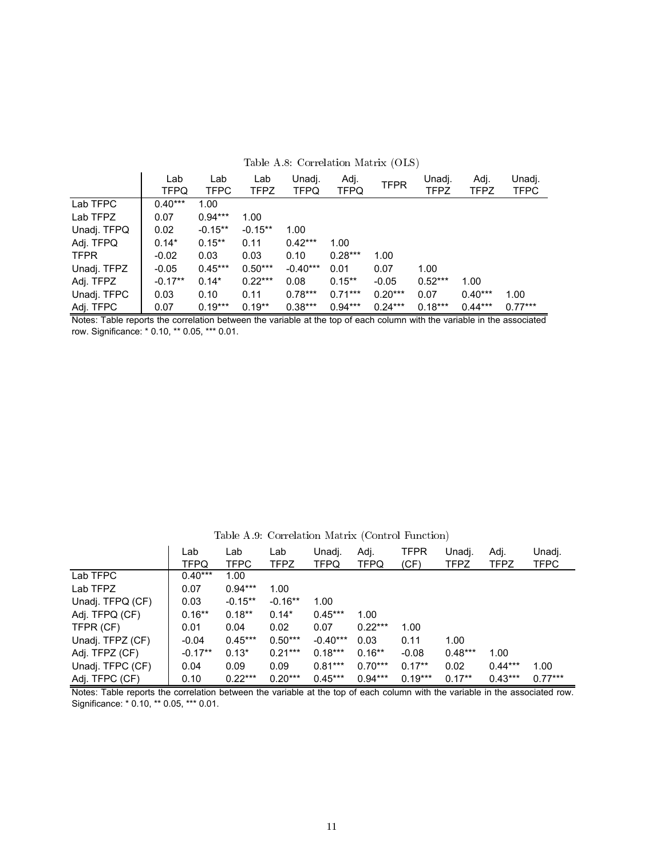|             | Lab<br><b>TFPQ</b> | Lab<br><b>TFPC</b> | Lab<br><b>TFPZ</b> | Unadj.<br><b>TFPQ</b> | Adj.<br><b>TFPQ</b> | <b>TFPR</b> | Unadj.<br><b>TFPZ</b> | Adj.<br><b>TFPZ</b> | Unadj.<br>TFPC |  |
|-------------|--------------------|--------------------|--------------------|-----------------------|---------------------|-------------|-----------------------|---------------------|----------------|--|
| Lab TFPC    | $0.40***$          | 1.00               |                    |                       |                     |             |                       |                     |                |  |
| Lab TFPZ    | 0.07               | $0.94***$          | 1.00               |                       |                     |             |                       |                     |                |  |
| Unadj. TFPQ | 0.02               | $-0.15**$          | $-0.15**$          | 1.00                  |                     |             |                       |                     |                |  |
| Adj. TFPQ   | $0.14*$            | $0.15***$          | 0.11               | $0.42***$             | 1.00                |             |                       |                     |                |  |
| <b>TFPR</b> | $-0.02$            | 0.03               | 0.03               | 0.10                  | $0.28***$           | 1.00        |                       |                     |                |  |
| Unadj. TFPZ | $-0.05$            | $0.45***$          | $0.50***$          | $-0.40***$            | 0.01                | 0.07        | 1.00                  |                     |                |  |
| Adj. TFPZ   | $-0.17**$          | $0.14*$            | $0.22***$          | 0.08                  | $0.15***$           | $-0.05$     | $0.52***$             | 1.00                |                |  |
| Unadj. TFPC | 0.03               | 0.10               | 0.11               | $0.78***$             | $0.71***$           | $0.20***$   | 0.07                  | $0.40***$           | 1.00           |  |
| Adj. TFPC   | 0.07               | $0.19***$          | $0.19**$           | $0.38***$             | $0.94***$           | $0.24***$   | $0.18***$             | $0.44***$           | $0.77***$      |  |

#### Table A.8: Correlation Matrix (OLS)

Notes: Table reports the correlation between the variable at the top of each column with the variable in the associated row. Significance: \* 0.10, \*\* 0.05, \*\*\* 0.01.

Table A.9: Correlation Matrix (Control Function)

|                  | Lab<br>TFPQ | Lab<br><b>TFPC</b> | Lab<br><b>TFPZ</b> | Unadj.<br><b>TFPQ</b> | Adj.<br><b>TFPQ</b> | TFPR<br>(CF) | Unadj.<br>TFPZ | Adj.<br><b>TFPZ</b> | Unadj.<br>TFPC |
|------------------|-------------|--------------------|--------------------|-----------------------|---------------------|--------------|----------------|---------------------|----------------|
| Lab TFPC         | $0.40***$   | 1.00               |                    |                       |                     |              |                |                     |                |
| Lab TFPZ         | 0.07        | $0.94***$          | 1.00               |                       |                     |              |                |                     |                |
| Unadj. TFPQ (CF) | 0.03        | $-0.15**$          | $-0.16**$          | 1.00                  |                     |              |                |                     |                |
| Adj. TFPQ (CF)   | $0.16***$   | $0.18**$           | $0.14*$            | $0.45***$             | 1.00                |              |                |                     |                |
| TFPR (CF)        | 0.01        | 0.04               | 0.02               | 0.07                  | $0.22***$           | 1.00         |                |                     |                |
| Unadj. TFPZ (CF) | $-0.04$     | $0.45***$          | $0.50***$          | $-0.40***$            | 0.03                | 0.11         | 1.00           |                     |                |
| Adj. TFPZ (CF)   | $-0.17**$   | $0.13*$            | $0.21***$          | $0.18***$             | $0.16***$           | $-0.08$      | $0.48***$      | 1.00                |                |
| Unadj. TFPC (CF) | 0.04        | 0.09               | 0.09               | $0.81***$             | $0.70***$           | $0.17**$     | 0.02           | $0.44***$           | 1.00           |
| Adj. TFPC (CF)   | 0.10        | $0.22***$          | $0.20***$          | $0.45***$             | $0.94***$           | $0.19***$    | $0.17**$       | $0.43***$           | $0.77***$      |

Notes: Table reports the correlation between the variable at the top of each column with the variable in the associated row. Significance: \* 0.10, \*\* 0.05, \*\*\* 0.01.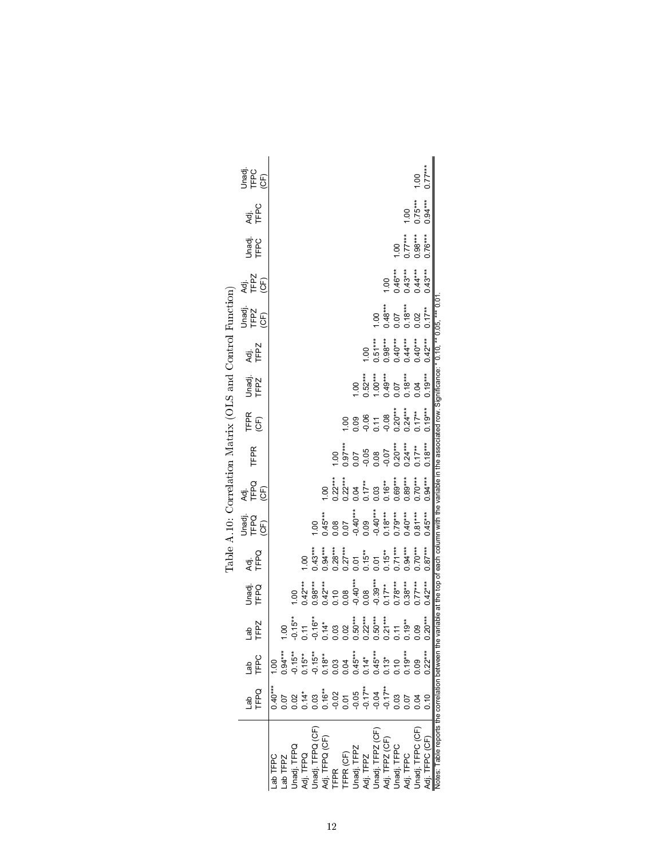|                                                           | The S<br>THC<br>CE)    |                    |                                                                                                                                                                                                                                                                                                                                  |                                                                                                                                                                                               |                                                 |           |            |                                                                                                                  |                     |                                                                                 |           |                                                                      |                                                           | 1.00             | $0.77***$    |                                                                                                                     |
|-----------------------------------------------------------|------------------------|--------------------|----------------------------------------------------------------------------------------------------------------------------------------------------------------------------------------------------------------------------------------------------------------------------------------------------------------------------------|-----------------------------------------------------------------------------------------------------------------------------------------------------------------------------------------------|-------------------------------------------------|-----------|------------|------------------------------------------------------------------------------------------------------------------|---------------------|---------------------------------------------------------------------------------|-----------|----------------------------------------------------------------------|-----------------------------------------------------------|------------------|--------------|---------------------------------------------------------------------------------------------------------------------|
|                                                           | Adj.<br>TFPC           |                    |                                                                                                                                                                                                                                                                                                                                  |                                                                                                                                                                                               |                                                 |           |            |                                                                                                                  |                     |                                                                                 |           |                                                                      | 00.1                                                      | $0.75***$        | $0.94***$    |                                                                                                                     |
|                                                           | Unadj.<br>TFPC         |                    |                                                                                                                                                                                                                                                                                                                                  |                                                                                                                                                                                               |                                                 |           |            |                                                                                                                  |                     |                                                                                 |           |                                                                      | $\begin{array}{c} 1.00 \\ 0.77*** \\ 0.98*** \end{array}$ |                  | $0.76***$    |                                                                                                                     |
|                                                           | Adj.<br>TFPZ<br>(CF)   |                    |                                                                                                                                                                                                                                                                                                                                  |                                                                                                                                                                                               |                                                 |           |            |                                                                                                                  |                     |                                                                                 |           | $\begin{array}{c} 1.00 \\ 0.46*** \\ 0.43*** \\ 0.44*** \end{array}$ |                                                           |                  | $0.43***$    |                                                                                                                     |
|                                                           | Unadj.<br>TFPZ<br>(CF) |                    |                                                                                                                                                                                                                                                                                                                                  |                                                                                                                                                                                               |                                                 |           |            |                                                                                                                  |                     | 1.00                                                                            | $0.48***$ | 0.07                                                                 | $0.18***$<br>0.02                                         |                  | $0.17**$     |                                                                                                                     |
| Table A.10: Correlation Matrix (OLS and Control Function) | Adj.<br>TFPZ           |                    |                                                                                                                                                                                                                                                                                                                                  |                                                                                                                                                                                               |                                                 |           |            |                                                                                                                  | 00.1                |                                                                                 |           |                                                                      |                                                           |                  | $0.42***$    | variable at the top of each column with the variable in the associated row. Significance: * 0.10, ** 0.05, *** 0.01 |
|                                                           | Unadj.<br>TFPZ         |                    |                                                                                                                                                                                                                                                                                                                                  |                                                                                                                                                                                               |                                                 |           |            |                                                                                                                  | $1.00$<br>$0.52***$ | $\begin{array}{c} 1.00***\\ 0.49***\\ 0.07\\ 0.18***\\ 0.04\\ 0.04 \end{array}$ |           |                                                                      |                                                           |                  | $0.19***$    |                                                                                                                     |
|                                                           | TFPR<br>(CF)           |                    |                                                                                                                                                                                                                                                                                                                                  |                                                                                                                                                                                               |                                                 |           |            | 00.1                                                                                                             |                     | 0.09<br>0.06<br>0.070***<br>0.24***<br>0.24***                                  |           |                                                                      |                                                           | $0.17***$        | $0.19***$    |                                                                                                                     |
|                                                           | <b>TFPR</b>            |                    |                                                                                                                                                                                                                                                                                                                                  |                                                                                                                                                                                               |                                                 |           | 00.1       | $0.97***$                                                                                                        |                     | $0.07$<br>$-0.05$<br>$-0.08$<br>$-0.07$<br>$-0.20***$<br>$0.24***$              |           |                                                                      |                                                           | $0.17**$         | $0.18***$    |                                                                                                                     |
|                                                           | Adj.<br>TFPQ<br>(CF)   |                    |                                                                                                                                                                                                                                                                                                                                  |                                                                                                                                                                                               |                                                 | 1.00      |            | $0.22***$<br>$0.24***$<br>$0.04***$<br>$0.05***$<br>$0.05***$<br>$0.05***$                                       |                     |                                                                                 |           |                                                                      | $0.89***$                                                 | $0.70***$        | $0.94***$    |                                                                                                                     |
|                                                           | Jnadi.<br>TFPQ<br>(CF) |                    |                                                                                                                                                                                                                                                                                                                                  |                                                                                                                                                                                               | 00.1                                            | $0.45***$ |            | $0.08$<br>$0.07$<br>$-0.40***$<br>$0.09$<br>$-0.40***$<br>$0.18***$                                              |                     |                                                                                 |           |                                                                      | $0.40***$                                                 | $0.81***$        | $0.45***$    |                                                                                                                     |
|                                                           | <b>Adj.</b><br>TFPQ    |                    |                                                                                                                                                                                                                                                                                                                                  | 1.00                                                                                                                                                                                          | $0.43***$                                       | $0.94***$ |            | $\begin{array}{l} 0.28^{***} \\ 0.27^{***} \\ 0.01 \\ 0.01 \\ 0.01 \\ 0.01 \\ 0.01 \\ 0.74^{***} \\ \end{array}$ |                     |                                                                                 |           |                                                                      | $0.94***$                                                 | $0.70***$        | $0.87***$    |                                                                                                                     |
|                                                           | Unadi.<br>TFPQ         |                    | $\frac{8}{1}$                                                                                                                                                                                                                                                                                                                    | $\begin{array}{l} 0.42^{***} \\ 0.98^{***} \\ 0.99^{***} \\ 0.42^{**} \\ 0.00 \\ 0.00 \\ 0.00 \\ 0.00 \\ 0.00 \\ 0.00 \\ 0.00 \\ 0.00 \\ 0.00 \\ 0.00 \\ 0.00 \\ 0.00 \\ 0.00 \\ \end{array}$ |                                                 |           |            |                                                                                                                  |                     |                                                                                 |           |                                                                      |                                                           | $0.77***$        | $0.42***$    |                                                                                                                     |
|                                                           | Lab<br>TFPZ            |                    | $\begin{array}{l} 1.00 \\ 7.15** \\ 7.15** \\ 7.15** \\ 7.15** \\ 7.15** \\ 7.15** \\ 7.15** \\ 7.15** \\ 7.15** \\ 7.15** \\ 7.15** \\ 7.15** \\ 7.15** \\ 7.15** \\ 7.15** \\ 7.15** \\ 7.15** \\ 7.15** \\ 7.15** \\ 7.15** \\ 7.15** \\ 7.15** \\ 7.15** \\ 7.15** \\ 7.15** \\ 7.15** \\ 7.15** \\ 7.15** \\ 7.15** \\ 7.1$ |                                                                                                                                                                                               |                                                 |           |            |                                                                                                                  |                     |                                                                                 |           |                                                                      |                                                           |                  | $0.20***$    |                                                                                                                     |
|                                                           | Lan<br>TFPC            | 00.1               |                                                                                                                                                                                                                                                                                                                                  |                                                                                                                                                                                               |                                                 |           |            |                                                                                                                  |                     |                                                                                 |           |                                                                      |                                                           |                  |              |                                                                                                                     |
|                                                           | TFPQ                   | $0.40***$          |                                                                                                                                                                                                                                                                                                                                  |                                                                                                                                                                                               |                                                 |           |            |                                                                                                                  |                     |                                                                                 |           |                                                                      |                                                           |                  | 210          |                                                                                                                     |
|                                                           |                        | ab TFPC<br>ab TFPZ | Jnadj. TFPQ                                                                                                                                                                                                                                                                                                                      |                                                                                                                                                                                               | Adj. TFPQ<br>Unadj. TFPQ (CF)<br>Adj. TFPQ (CF) |           | <b>FPR</b> | TFPR (CF)<br>Unadj .TFPZ<br>Adj .TFPZ<br>Mdj .TFPZ (CF)<br>Adj .TFPZ (CF)<br>Adj .TFPC                           |                     |                                                                                 |           |                                                                      | dj. TFPC                                                  | Inadj. TFPC (CF) | i. TFPC (CF) | Notes: Table reports the correlation between the                                                                    |

| I                                                                                      |
|----------------------------------------------------------------------------------------|
| I                                                                                      |
| l<br>֖֖֖֖֖֖֖֧ׅׅ֧֧֪֧֚֚֚֚֚֚֚֚֚֚֚֚֚֚֚֚֬֝֓֡֬֝֬֓֡֬֓֝֬֓֝֓֬֓֓֬֓֓֬֓֬֓֓֬֓֡֬֓֓֞֬֓֡֬֓֞֓֡֬֓֞֬֓֝֬֝֬ |
| Ì                                                                                      |
| ļ<br>i                                                                                 |
| くりく                                                                                    |
|                                                                                        |
| ֖֖֖֖֖֖֖ׅׅׅ֖֧֪֚֚֚֚֚֚֚֚֚֚֚֚֚֚֚֬֝֝֝֝֓֝֬֝֬֝֓֞֝֓֞֝֓֬                                        |
|                                                                                        |
| ֖֖֖֖֧֖ׅ֖֧֖֧֖֧֪֧֚֚֚֚֚֚֚֚֚֚֚֚֚֚֚֚֚֚֚֚֚֚֚֚֚֚֚֚֚֬֝֝֝֓֞֝֓֞֝֓֞֝֓֞֝֬<br>ׇ֚֘֝֬                 |
| $\frac{1}{2}$                                                                          |
|                                                                                        |
| Ì                                                                                      |
|                                                                                        |
|                                                                                        |
| I<br>ĺ<br>֘֒<br>ì                                                                      |
|                                                                                        |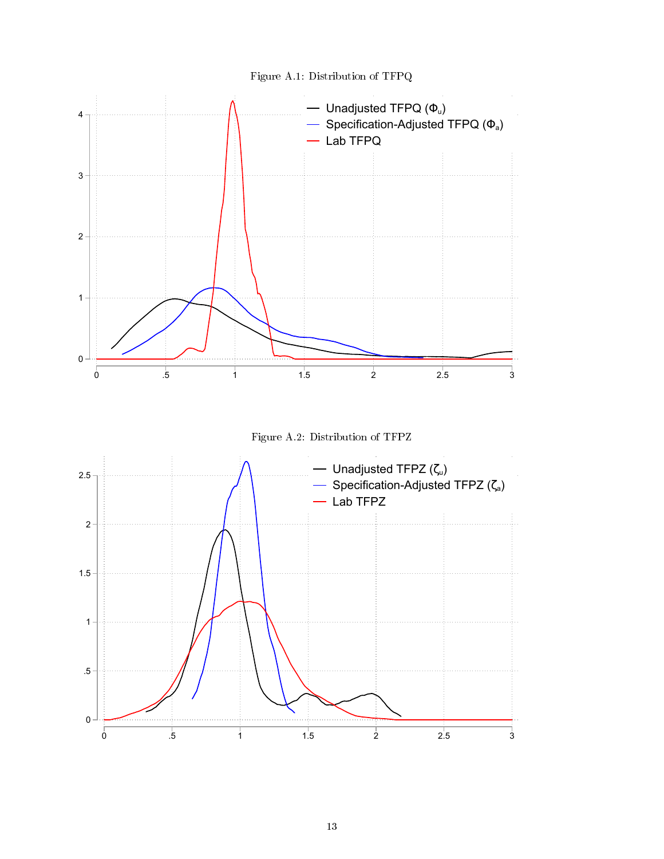



Figure A.2: Distribution of TFPZ